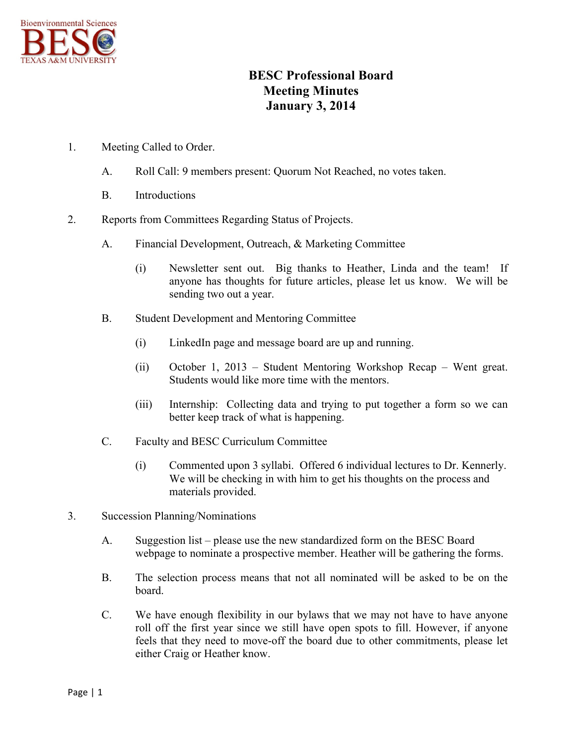

## **BESC Professional Board Meeting Minutes January 3, 2014**

- 1. Meeting Called to Order.
	- A. Roll Call: 9 members present: Quorum Not Reached, no votes taken.
	- B. Introductions
- 2. Reports from Committees Regarding Status of Projects.
	- A. Financial Development, Outreach, & Marketing Committee
		- (i) Newsletter sent out. Big thanks to Heather, Linda and the team! If anyone has thoughts for future articles, please let us know. We will be sending two out a year.
	- B. Student Development and Mentoring Committee
		- (i) LinkedIn page and message board are up and running.
		- (ii) October 1, 2013 Student Mentoring Workshop Recap Went great. Students would like more time with the mentors.
		- (iii) Internship: Collecting data and trying to put together a form so we can better keep track of what is happening.
	- C. Faculty and BESC Curriculum Committee
		- (i) Commented upon 3 syllabi. Offered 6 individual lectures to Dr. Kennerly. We will be checking in with him to get his thoughts on the process and materials provided.
- 3. Succession Planning/Nominations
	- A. Suggestion list please use the new standardized form on the BESC Board webpage to nominate a prospective member. Heather will be gathering the forms.
	- B. The selection process means that not all nominated will be asked to be on the board.
	- C. We have enough flexibility in our bylaws that we may not have to have anyone roll off the first year since we still have open spots to fill. However, if anyone feels that they need to move-off the board due to other commitments, please let either Craig or Heather know.